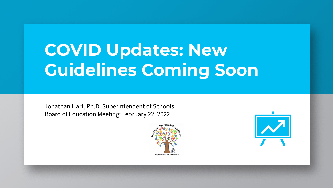# **COVID Updates: New Guidelines Coming Soon**

Jonathan Hart, Ph.D. Superintendent of Schools Board of Education Meeting: February 22, 2022



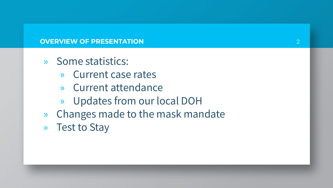### **OVERVIEW OF PRESENTATION**

- » Some statistics:
	- » Current case rates
	- » Current attendance
	- » Updates from our local DOH
- » Changes made to the mask mandate
- » Test to Stay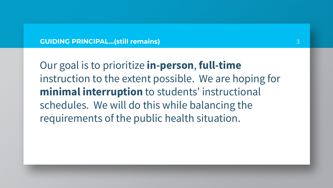#### **GUIDING PRINCIPAL…(still remains)**

Our goal is to prioritize **in-person**, **full-time** instruction to the extent possible. We are hoping for **minimal interruption** to students' instructional schedules. We will do this while balancing the requirements of the public health situation.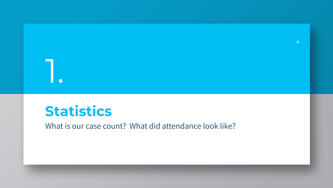# **Statistics**

1.

What is our case count? What did attendance look like?

4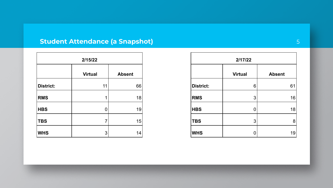# **Student Attendance (a Snapshot)** 5

| 2/15/22    |                |               |  |  |
|------------|----------------|---------------|--|--|
|            | <b>Virtual</b> | <b>Absent</b> |  |  |
| District:  | 11             | 66            |  |  |
| <b>RMS</b> | 1              | 18            |  |  |
| <b>HBS</b> | 0              | 19            |  |  |
| <b>TBS</b> | 7              | 15            |  |  |
| <b>WHS</b> | 3              | 14            |  |  |

| 2/17/22          |                |               |  |
|------------------|----------------|---------------|--|
|                  | <b>Virtual</b> | <b>Absent</b> |  |
| <b>District:</b> | 6              | 61            |  |
| <b>RMS</b>       | 3              | 16            |  |
| <b>HBS</b>       | Ω              | 18            |  |
| <b>TBS</b>       | 3              | 8             |  |
| <b>WHS</b>       |                | 19            |  |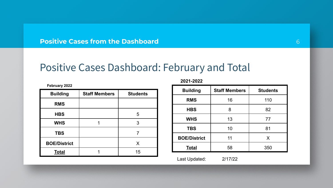**Positive Cases from the Dashboard**

# Positive Cases Dashboard: February and Total

| <b>Building</b>     | <b>Staff Members</b> | <b>Students</b> |
|---------------------|----------------------|-----------------|
| <b>RMS</b>          |                      |                 |
| <b>HBS</b>          |                      | 5               |
| <b>WHS</b>          |                      | 3               |
| <b>TBS</b>          |                      |                 |
| <b>BOE/District</b> |                      | х               |
| Total               |                      | 15              |

**February 2022**

**2021-2022**

| <b>Building</b>     | <b>Staff Members</b> | <b>Students</b> |
|---------------------|----------------------|-----------------|
| <b>RMS</b>          | 16                   | 110             |
| <b>HBS</b>          | 8                    | 82              |
| <b>WHS</b>          | 13                   | 77              |
| <b>TBS</b>          | 10                   | 81              |
| <b>BOE/District</b> | 11                   | X               |
| <b>Total</b>        | 58                   | 350             |
| Last Updated:       | 2/17/22              |                 |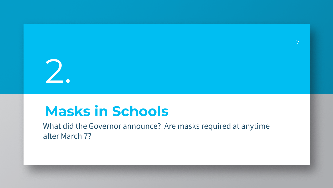# 2.

# **Masks in Schools**

What did the Governor announce? Are masks required at anytime after March 7?

7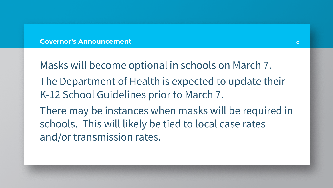#### **Governor's Announcement**

Masks will become optional in schools on March 7. The Department of Health is expected to update their K-12 School Guidelines prior to March 7. There may be instances when masks will be required in schools. This will likely be tied to local case rates

and/or transmission rates.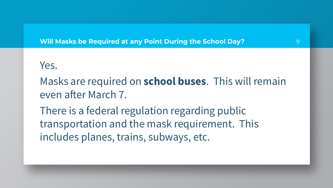## **Will Masks be Required at any Point During the School Day?**

# Yes.

Masks are required on **school buses**. This will remain even after March 7.

There is a federal regulation regarding public transportation and the mask requirement. This includes planes, trains, subways, etc.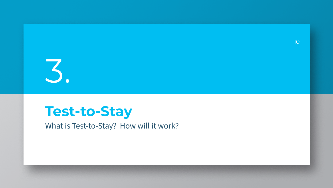

# **Test-to-Stay**

What is Test-to-Stay? How will it work?

10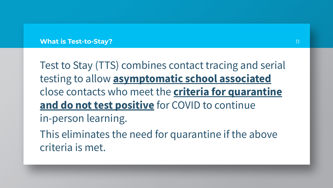#### **What is Test-to-Stay?**

Test to Stay (TTS) combines contact tracing and serial testing to allow **asymptomatic school associated** close contacts who meet the **criteria for quarantine and do not test positive** for COVID to continue in-person learning. This eliminates the need for quarantine if the above

criteria is met.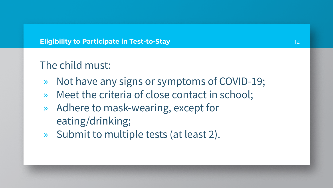## **Eligibility to Participate in Test-to-Stay**

# The child must:

- » Not have any signs or symptoms of COVID-19;
- » Meet the criteria of close contact in school;
- » Adhere to mask-wearing, except for eating/drinking;
- » Submit to multiple tests (at least 2).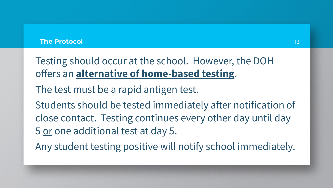#### **The Protocol**

Testing should occur at the school. However, the DOH offers an **alternative of home-based testing**.

The test must be a rapid antigen test.

Students should be tested immediately after notification of close contact. Testing continues every other day until day 5 or one additional test at day 5.

Any student testing positive will notify school immediately.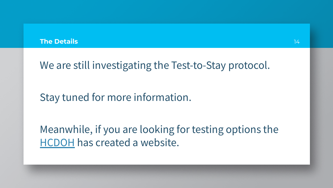#### **The Details**

We are still investigating the Test-to-Stay protocol.

Stay tuned for more information.

Meanwhile, if you are looking for testing options the [HCDOH](https://www.co.hunterdon.nj.us/Coronavirus/testingsite.html) has created a website.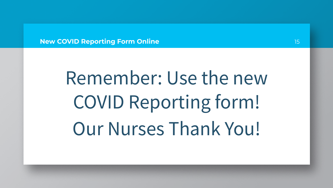**New COVID Reporting Form Online**

# Remember: Use the new COVID Reporting form! Our Nurses Thank You!